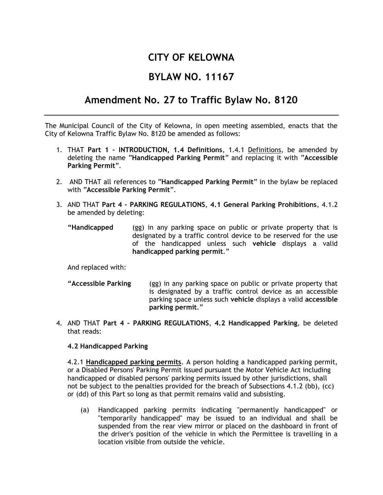# **CITY OF KELOWNA**

# **BYLAW NO. 11167**

# **Amendment No. 27 to Traffic Bylaw No. 8120**

The Municipal Council of the City of Kelowna, in open meeting assembled, enacts that the City of Kelowna Traffic Bylaw No. 8120 be amended as follows:

- 1. THAT **Part 1 – INTRODUCTION, 1.4 Definitions**, 1.4.1 Definitions, be amended by deleting the name "**Handicapped Parking Permit**" and replacing it with "**Accessible Parking Permit**".
- 2. AND THAT all references to "**Handicapped Parking Permit**" in the bylaw be replaced with "**Accessible Parking Permit**".
- 3. AND THAT **Part 4 – PARKING REGULATIONS**, **4.1 General Parking Prohibitions**, 4.1.2 be amended by deleting:
	- **"Handicapped** (gg) in any parking space on public or private property that is designated by a traffic control device to be reserved for the use of the handicapped unless such **vehicle** displays a valid **handicapped parking permit**."

And replaced with:

- **"Accessible Parking** (gg) in any parking space on public or private property that is designated by a traffic control device as an accessible parking space unless such **vehicle** displays a valid **accessible parking permit**."
- 4. AND THAT **Part 4 – PARKING REGULATIONS**, **4.2 Handicapped Parking**, be deleted that reads:

#### **4.2 Handicapped Parking**

4.2.1 **Handicapped parking permits**. A person holding a handicapped parking permit, or a Disabled Persons' Parking Permit issued pursuant the Motor Vehicle Act including handicapped or disabled persons' parking permits issued by other jurisdictions, shall not be subject to the penalties provided for the breach of Subsections 4.1.2 (bb), (cc) or (dd) of this Part so long as that permit remains valid and subsisting.

(a) Handicapped parking permits indicating "permanently handicapped" or "temporarily handicapped" may be issued to an individual and shall be suspended from the rear view mirror or placed on the dashboard in front of the driver's position of the vehicle in which the Permittee is travelling in a location visible from outside the vehicle.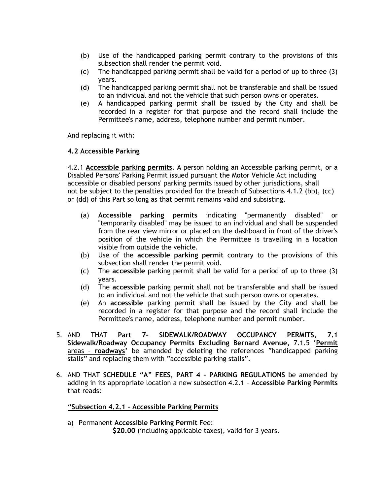- (b) Use of the handicapped parking permit contrary to the provisions of this subsection shall render the permit void.
- (c) The handicapped parking permit shall be valid for a period of up to three (3) years.
- (d) The handicapped parking permit shall not be transferable and shall be issued to an individual and not the vehicle that such person owns or operates.
- (e) A handicapped parking permit shall be issued by the City and shall be recorded in a register for that purpose and the record shall include the Permittee's name, address, telephone number and permit number.

And replacing it with:

## **4.2 Accessible Parking**

4.2.1 **Accessible parking permits**. A person holding an Accessible parking permit, or a Disabled Persons' Parking Permit issued pursuant the Motor Vehicle Act including accessible or disabled persons' parking permits issued by other jurisdictions, shall not be subject to the penalties provided for the breach of Subsections 4.1.2 (bb), (cc) or (dd) of this Part so long as that permit remains valid and subsisting.

- (a) **Accessible parking permits** indicating "permanently disabled" or "temporarily disabled" may be issued to an individual and shall be suspended from the rear view mirror or placed on the dashboard in front of the driver's position of the vehicle in which the Permittee is travelling in a location visible from outside the vehicle.
- (b) Use of the **accessible parking permit** contrary to the provisions of this subsection shall render the permit void.
- (c) The **accessible** parking permit shall be valid for a period of up to three (3) years.
- (d) The **accessible** parking permit shall not be transferable and shall be issued to an individual and not the vehicle that such person owns or operates.
- (e) An **accessible** parking permit shall be issued by the City and shall be recorded in a register for that purpose and the record shall include the Permittee's name, address, telephone number and permit number.
- 5. AND THAT **Part 7– SIDEWALK/ROADWAY OCCUPANCY PERMITS**, **7.1 Sidewalk/Roadway Occupancy Permits Excluding Bernard Avenue,** 7.1.5 '**Permit** areas – **roadways'** be amended by deleting the references "handicapped parking stalls" and replacing them with "accessible parking stalls".
- 6. AND THAT **SCHEDULE "A" FEES, PART 4 – PARKING REGULATIONS** be amended by adding in its appropriate location a new subsection 4.2.1 – **Accessible Parking Permits** that reads:

#### **"Subsection 4.2.1 – Accessible Parking Permits**

a) Permanent **Accessible Parking Permit** Fee: **\$20.00** (including applicable taxes), valid for 3 years.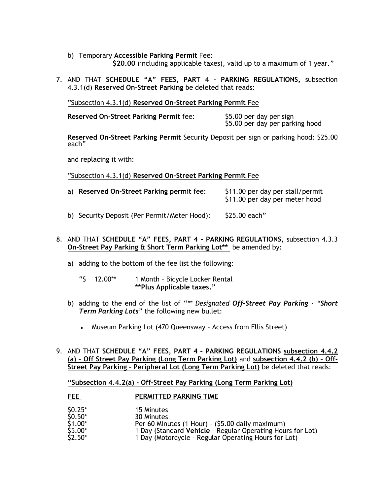b) Temporary **Accessible Parking Permit** Fee:

**\$20.00** (including applicable taxes), valid up to a maximum of 1 year."

7. AND THAT **SCHEDULE "A" FEES, PART 4 – PARKING REGULATIONS,** subsection 4.3.1(d) **Reserved On-Street Parking** be deleted that reads:

"Subsection 4.3.1(d) **Reserved On-Street Parking Permit** Fee

**Reserved On-Street Parking Permit** fee: \$5.00 per day per sign

\$5.00 per day per parking hood

**Reserved On-Street Parking Permit** Security Deposit per sign or parking hood: \$25.00 each"

and replacing it with:

"Subsection 4.3.1(d) **Reserved On-Street Parking Permit** Fee

a) **Reserved On-Street Parking permit** fee: \$11.00 per day per stall/permit \$11.00 per day per meter hood b) Security Deposit (Per Permit/Meter Hood): \$25.00 each"

## 8. AND THAT **SCHEDULE "A" FEES, PART 4 – PARKING REGULATIONS,** subsection 4.3.3 **On-Street Pay Parking & Short Term Parking Lot\*\*** be amended by:

- a) adding to the bottom of the fee list the following:
	- "\$ 12.00\*\* 1 Month Bicycle Locker Rental **\*\*Plus Applicable taxes."**
- b) adding to the end of the list of "*\*\* Designated Off-Street Pay Parking - "Short Term Parking Lots*" the following new bullet:
	- Museum Parking Lot (470 Queensway Access from Ellis Street)
- 9. AND THAT **SCHEDULE "A" FEES, PART 4 – PARKING REGULATIONS subsection 4.4.2 (a) – Off Street Pay Parking (Long Term Parking Lot)** and **subsection 4.4.2 (b) – Off-Street Pay Parking – Peripheral Lot (Long Term Parking Lot)** be deleted that reads:

**"Subsection 4.4.2(a) - Off-Street Pay Parking (Long Term Parking Lot)**

## FEE **PERMITTED PARKING TIME**

| $$0.25*$ | 15 Minutes                                                 |
|----------|------------------------------------------------------------|
| $$0.50*$ | 30 Minutes                                                 |
| \$1.00*  | Per 60 Minutes (1 Hour) - (\$5.00 daily maximum)           |
| \$5.00*  | 1 Day (Standard Vehicle - Regular Operating Hours for Lot) |
| $$2.50*$ | 1 Day (Motorcycle - Regular Operating Hours for Lot)       |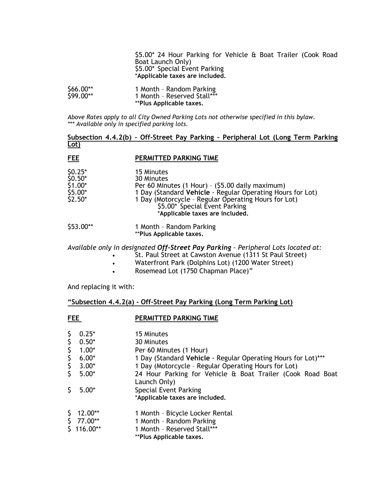\$5.00\* 24 Hour Parking for Vehicle & Boat Trailer (Cook Road Boat Launch Only) \$5.00\* Special Event Parking \***Applicable taxes are included.**

| \$66.00** | 1 Month - Random Parking        |
|-----------|---------------------------------|
| \$99.00** | 1 Month - Reserved Stall***     |
|           | <i>**Plus Applicable taxes.</i> |

*Above Rates apply to all City Owned Parking Lots not otherwise specified in this bylaw. \*\*\* Available only in specified parking lots.*

#### **Subsection 4.4.2(b) – Off-Street Pay Parking – Peripheral Lot (Long Term Parking Lot)**

#### **FEE PERMITTED PARKING TIME**

| $$0.25*$ | 15 Minutes                                                 |
|----------|------------------------------------------------------------|
| $$0.50*$ | 30 Minutes                                                 |
| $$1.00*$ | Per 60 Minutes (1 Hour) - (\$5.00 daily maximum)           |
| $$5.00*$ | 1 Day (Standard Vehicle - Regular Operating Hours for Lot) |
| $$2.50*$ | 1 Day (Motorcycle - Regular Operating Hours for Lot)       |
|          | \$5.00* Special Event Parking                              |
|          | *Applicable taxes are included.                            |

\$53.00\*\* 1 Month – Random Parking \*\***Plus Applicable taxes.**

*Available only in designated Off-Street Pay Parking – Peripheral Lots located at:*

- St. Paul Street at Cawston Avenue (1311 St Paul Street)
- Waterfront Park (Dolphins Lot) (1200 Water Street)
- Rosemead Lot (1750 Chapman Place)"

And replacing it with:

#### **"Subsection 4.4.2(a) - Off-Street Pay Parking (Long Term Parking Lot)**

**FEE** PERMITTED PARKING TIME

| \$ | $0.25*$     | 15 Minutes                                                                 |
|----|-------------|----------------------------------------------------------------------------|
| \$ | $0.50*$     | 30 Minutes                                                                 |
| \$ | $1.00*$     | Per 60 Minutes (1 Hour)                                                    |
| \$ | $6.00*$     | 1 Day (Standard Vehicle - Regular Operating Hours for Lot)***              |
| \$ | $3.00*$     | 1 Day (Motorcycle - Regular Operating Hours for Lot)                       |
| Ś. | $5.00*$     | 24 Hour Parking for Vehicle & Boat Trailer (Cook Road Boat<br>Launch Only) |
| \$ | $5.00*$     | Special Event Parking<br>*Applicable taxes are included.                   |
| \$ | 12.00**     | 1 Month - Bicycle Locker Rental                                            |
|    | $$77.00**$  | 1 Month - Random Parking                                                   |
|    | $$116.00**$ | 1 Month - Reserved Stall***                                                |
|    |             | **Plus Applicable taxes.                                                   |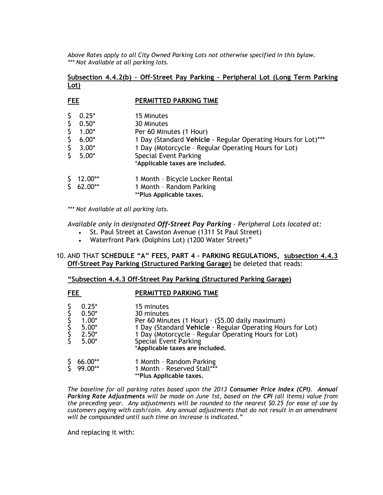*Above Rates apply to all City Owned Parking Lots not otherwise specified in this bylaw. \*\*\* Not Available at all parking lots.*

# **Subsection 4.4.2(b) – Off-Street Pay Parking – Peripheral Lot (Long Term Parking Lot)**

| <b>FEE</b>                       |                                                                | PERMITTED PARKING TIME                                                                                                                                                                                                                          |
|----------------------------------|----------------------------------------------------------------|-------------------------------------------------------------------------------------------------------------------------------------------------------------------------------------------------------------------------------------------------|
| \$.<br>\$<br>\$<br>\$<br>\$<br>Ś | $0.25*$<br>$0.50*$<br>$1.00*$<br>$6.00*$<br>$3.00*$<br>$5.00*$ | 15 Minutes<br>30 Minutes<br>Per 60 Minutes (1 Hour)<br>1 Day (Standard Vehicle - Regular Operating Hours for Lot)***<br>1 Day (Motorcycle - Regular Operating Hours for Lot)<br><b>Special Event Parking</b><br>*Applicable taxes are included. |
|                                  | $12.00**$<br>62.00**                                           | 1 Month - Bicycle Locker Rental<br>1 Month - Random Parking<br>**Plus Applicable taxes.                                                                                                                                                         |

*\*\*\* Not Available at all parking lots.*

*Available only in designated Off-Street Pay Parking – Peripheral Lots located at:*

- St. Paul Street at Cawston Avenue (1311 St Paul Street)
- Waterfront Park (Dolphins Lot) (1200 Water Street)"

### 10. AND THAT **SCHEDULE "A" FEES, PART 4 – PARKING REGULATIONS, subsection 4.4.3 Off-Street Pay Parking (Structured Parking Garage)** be deleted that reads:

#### **"Subsection 4.4.3 Off-Street Pay Parking (Structured Parking Garage)**

|--|--|

# **PERMITTED PARKING TIME**

| <b>とらさらさく</b> | $0.25*$<br>$0.50*$<br>$1.00*$<br>$5.00*$<br>$2.50*$<br>$5.00*$ | 15 minutes<br>30 minutes<br>Per 60 Minutes (1 Hour) - (\$5.00 daily maximum)<br>1 Day (Standard Vehicle - Regular Operating Hours for Lot)<br>1 Day (Motorcycle - Regular Operating Hours for Lot)<br><b>Special Event Parking</b><br>*Applicable taxes are included. |
|---------------|----------------------------------------------------------------|-----------------------------------------------------------------------------------------------------------------------------------------------------------------------------------------------------------------------------------------------------------------------|
|               | $$66.00**$$<br>$$99.00**$$                                     | 1 Month - Random Parking<br>1 Month - Reserved Stall***<br>**Plus Applicable taxes.                                                                                                                                                                                   |

*The baseline for all parking rates based upon the 2013 Consumer Price Index (CPI). Annual Parking Rate Adjustments will be made on June 1st, based on the CPI (all items) value from the preceding year. Any adjustments will be rounded to the nearest \$0.25 for ease of use by customers paying with cash/coin. Any annual adjustments that do not result in an amendment will be compounded until such time an increase is indicated."* 

And replacing it with: